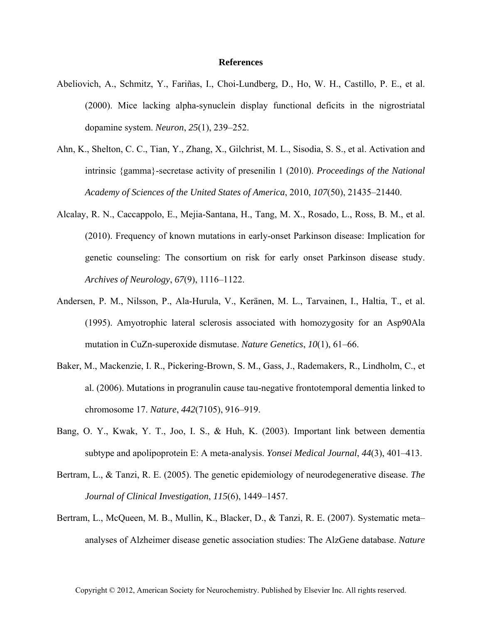## **References**

- Abeliovich, A., Schmitz, Y., Fariñas, I., Choi-Lundberg, D., Ho, W. H., Castillo, P. E., et al. (2000). Mice lacking alpha-synuclein display functional deficits in the nigrostriatal dopamine system. *Neuron*, *25*(1), 239–252.
- Ahn, K., Shelton, C. C., Tian, Y., Zhang, X., Gilchrist, M. L., Sisodia, S. S., et al. Activation and intrinsic {gamma}-secretase activity of presenilin 1 (2010). *Proceedings of the National Academy of Sciences of the United States of America*, 2010, *107*(50), 21435–21440.
- Alcalay, R. N., Caccappolo, E., Mejia-Santana, H., Tang, M. X., Rosado, L., Ross, B. M., et al. (2010). Frequency of known mutations in early-onset Parkinson disease: Implication for genetic counseling: The consortium on risk for early onset Parkinson disease study. *Archives of Neurology*, *67*(9), 1116–1122.
- Andersen, P. M., Nilsson, P., Ala-Hurula, V., Keränen, M. L., Tarvainen, I., Haltia, T., et al. (1995). Amyotrophic lateral sclerosis associated with homozygosity for an Asp90Ala mutation in CuZn-superoxide dismutase. *Nature Genetics*, *10*(1), 61–66.
- Baker, M., Mackenzie, I. R., Pickering-Brown, S. M., Gass, J., Rademakers, R., Lindholm, C., et al. (2006). Mutations in progranulin cause tau-negative frontotemporal dementia linked to chromosome 17. *Nature*, *442*(7105), 916–919.
- Bang, O. Y., Kwak, Y. T., Joo, I. S., & Huh, K. (2003). Important link between dementia subtype and apolipoprotein E: A meta-analysis. *Yonsei Medical Journal*, *44*(3), 401–413.
- Bertram, L., & Tanzi, R. E. (2005). The genetic epidemiology of neurodegenerative disease. *The Journal of Clinical Investigation*, *115*(6), 1449–1457.
- Bertram, L., McQueen, M. B., Mullin, K., Blacker, D., & Tanzi, R. E. (2007). Systematic meta– analyses of Alzheimer disease genetic association studies: The AlzGene database. *Nature*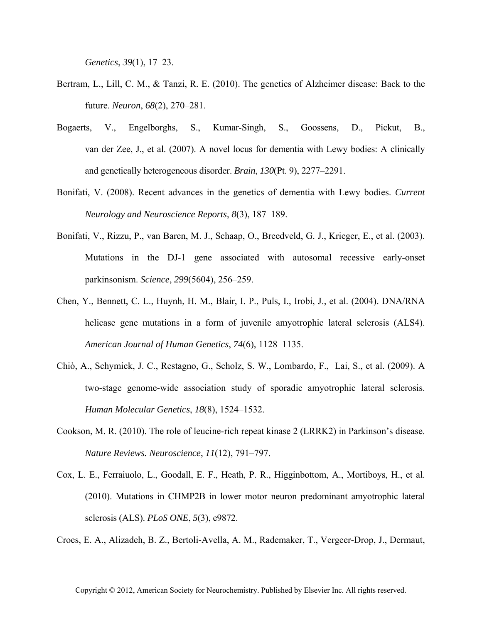*Genetics*, *39*(1), 17–23.

- Bertram, L., Lill, C. M., & Tanzi, R. E. (2010). The genetics of Alzheimer disease: Back to the future. *Neuron*, *68*(2), 270–281.
- Bogaerts, V., Engelborghs, S., Kumar-Singh, S., Goossens, D., Pickut, B., van der Zee, J., et al. (2007). A novel locus for dementia with Lewy bodies: A clinically and genetically heterogeneous disorder. *Brain*, *130*(Pt. 9), 2277–2291.
- Bonifati, V. (2008). Recent advances in the genetics of dementia with Lewy bodies. *Current Neurology and Neuroscience Reports*, *8*(3), 187–189.
- Bonifati, V., Rizzu, P., van Baren, M. J., Schaap, O., Breedveld, G. J., Krieger, E., et al. (2003). Mutations in the DJ-1 gene associated with autosomal recessive early-onset parkinsonism. *Science*, *299*(5604), 256–259.
- Chen, Y., Bennett, C. L., Huynh, H. M., Blair, I. P., Puls, I., Irobi, J., et al. (2004). DNA/RNA helicase gene mutations in a form of juvenile amyotrophic lateral sclerosis (ALS4). *American Journal of Human Genetics*, *74*(6), 1128–1135.
- Chiò, A., Schymick, J. C., Restagno, G., Scholz, S. W., Lombardo, F., Lai, S., et al. (2009). A two-stage genome-wide association study of sporadic amyotrophic lateral sclerosis. *Human Molecular Genetics*, *18*(8), 1524–1532.
- Cookson, M. R. (2010). The role of leucine-rich repeat kinase 2 (LRRK2) in Parkinson's disease. *Nature Reviews. Neuroscience*, *11*(12), 791–797.
- Cox, L. E., Ferraiuolo, L., Goodall, E. F., Heath, P. R., Higginbottom, A., Mortiboys, H., et al. (2010). Mutations in CHMP2B in lower motor neuron predominant amyotrophic lateral sclerosis (ALS). *PLoS ONE*, *5*(3), e9872.

Croes, E. A., Alizadeh, B. Z., Bertoli-Avella, A. M., Rademaker, T., Vergeer-Drop, J., Dermaut,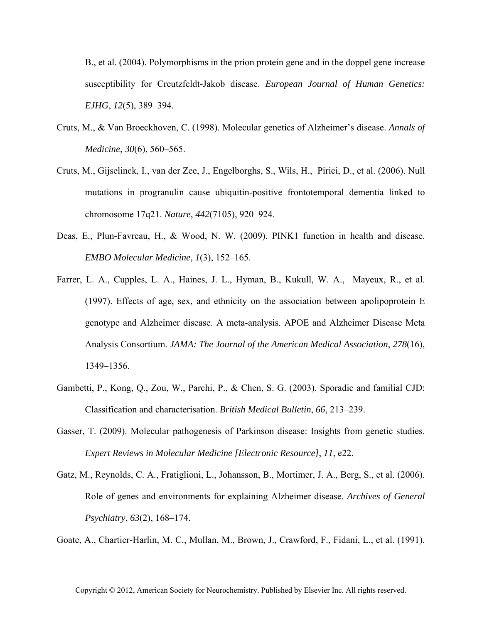B., et al. (2004). Polymorphisms in the prion protein gene and in the doppel gene increase susceptibility for Creutzfeldt-Jakob disease. *European Journal of Human Genetics: EJHG*, *12*(5), 389–394.

- Cruts, M., & Van Broeckhoven, C. (1998). Molecular genetics of Alzheimer's disease. *Annals of Medicine*, *30*(6), 560–565.
- Cruts, M., Gijselinck, I., van der Zee, J., Engelborghs, S., Wils, H., Pirici, D., et al. (2006). Null mutations in progranulin cause ubiquitin-positive frontotemporal dementia linked to chromosome 17q21. *Nature*, *442*(7105), 920–924.
- Deas, E., Plun-Favreau, H., & Wood, N. W. (2009). PINK1 function in health and disease. *EMBO Molecular Medicine*, *1*(3), 152–165.
- Farrer, L. A., Cupples, L. A., Haines, J. L., Hyman, B., Kukull, W. A., Mayeux, R., et al. (1997). Effects of age, sex, and ethnicity on the association between apolipoprotein E genotype and Alzheimer disease. A meta-analysis. APOE and Alzheimer Disease Meta Analysis Consortium. *JAMA: The Journal of the American Medical Association*, *278*(16), 1349–1356.
- Gambetti, P., Kong, Q., Zou, W., Parchi, P., & Chen, S. G. (2003). Sporadic and familial CJD: Classification and characterisation. *British Medical Bulletin*, *66*, 213–239.
- Gasser, T. (2009). Molecular pathogenesis of Parkinson disease: Insights from genetic studies. *Expert Reviews in Molecular Medicine [Electronic Resource]*, *11*, e22.
- Gatz, M., Reynolds, C. A., Fratiglioni, L., Johansson, B., Mortimer, J. A., Berg, S., et al. (2006). Role of genes and environments for explaining Alzheimer disease. *Archives of General Psychiatry*, *63*(2), 168–174.

Goate, A., Chartier-Harlin, M. C., Mullan, M., Brown, J., Crawford, F., Fidani, L., et al. (1991).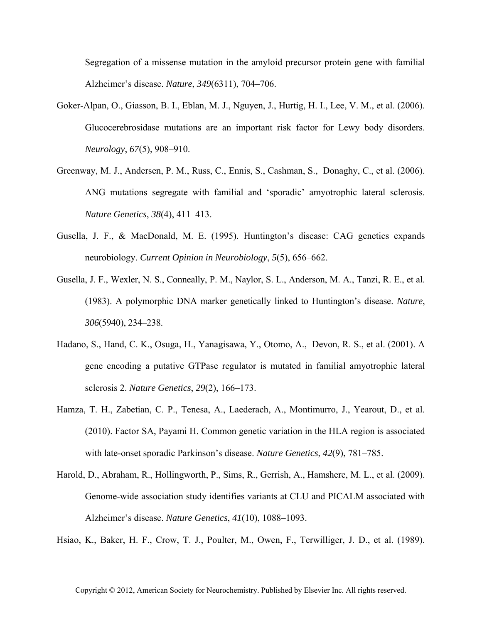Segregation of a missense mutation in the amyloid precursor protein gene with familial Alzheimer's disease. *Nature*, *349*(6311), 704–706.

- Goker-Alpan, O., Giasson, B. I., Eblan, M. J., Nguyen, J., Hurtig, H. I., Lee, V. M., et al. (2006). Glucocerebrosidase mutations are an important risk factor for Lewy body disorders. *Neurology*, *67*(5), 908–910.
- Greenway, M. J., Andersen, P. M., Russ, C., Ennis, S., Cashman, S., Donaghy, C., et al. (2006). ANG mutations segregate with familial and 'sporadic' amyotrophic lateral sclerosis. *Nature Genetics*, *38*(4), 411–413.
- Gusella, J. F., & MacDonald, M. E. (1995). Huntington's disease: CAG genetics expands neurobiology. *Current Opinion in Neurobiology*, *5*(5), 656–662.
- Gusella, J. F., Wexler, N. S., Conneally, P. M., Naylor, S. L., Anderson, M. A., Tanzi, R. E., et al. (1983). A polymorphic DNA marker genetically linked to Huntington's disease. *Nature*, *306*(5940), 234–238.
- Hadano, S., Hand, C. K., Osuga, H., Yanagisawa, Y., Otomo, A., Devon, R. S., et al. (2001). A gene encoding a putative GTPase regulator is mutated in familial amyotrophic lateral sclerosis 2. *Nature Genetics*, *29*(2), 166–173.
- Hamza, T. H., Zabetian, C. P., Tenesa, A., Laederach, A., Montimurro, J., Yearout, D., et al. (2010). Factor SA, Payami H. Common genetic variation in the HLA region is associated with late-onset sporadic Parkinson's disease. *Nature Genetics*, *42*(9), 781–785.
- Harold, D., Abraham, R., Hollingworth, P., Sims, R., Gerrish, A., Hamshere, M. L., et al. (2009). Genome-wide association study identifies variants at CLU and PICALM associated with Alzheimer's disease. *Nature Genetics*, *41*(10), 1088–1093.

Hsiao, K., Baker, H. F., Crow, T. J., Poulter, M., Owen, F., Terwilliger, J. D., et al. (1989).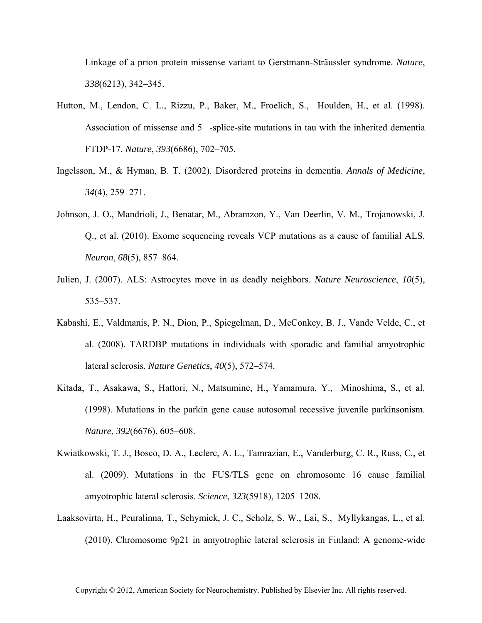Linkage of a prion protein missense variant to Gerstmann-Sträussler syndrome. *Nature*, *338*(6213), 342–345.

- Hutton, M., Lendon, C. L., Rizzu, P., Baker, M., Froelich, S., Houlden, H., et al. (1998). Association of missense and 5-splice-site mutations in tau with the inherited dementia FTDP-17. *Nature*, *393*(6686), 702–705.
- Ingelsson, M., & Hyman, B. T. (2002). Disordered proteins in dementia. *Annals of Medicine*, *34*(4), 259–271.
- Johnson, J. O., Mandrioli, J., Benatar, M., Abramzon, Y., Van Deerlin, V. M., Trojanowski, J. Q., et al. (2010). Exome sequencing reveals VCP mutations as a cause of familial ALS. *Neuron*, *68*(5), 857–864.
- Julien, J. (2007). ALS: Astrocytes move in as deadly neighbors. *Nature Neuroscience*, *10*(5), 535–537.
- Kabashi, E., Valdmanis, P. N., Dion, P., Spiegelman, D., McConkey, B. J., Vande Velde, C., et al. (2008). TARDBP mutations in individuals with sporadic and familial amyotrophic lateral sclerosis. *Nature Genetics*, *40*(5), 572–574.
- Kitada, T., Asakawa, S., Hattori, N., Matsumine, H., Yamamura, Y., Minoshima, S., et al. (1998). Mutations in the parkin gene cause autosomal recessive juvenile parkinsonism. *Nature*, *392*(6676), 605–608.
- Kwiatkowski, T. J., Bosco, D. A., Leclerc, A. L., Tamrazian, E., Vanderburg, C. R., Russ, C., et al. (2009). Mutations in the FUS/TLS gene on chromosome 16 cause familial amyotrophic lateral sclerosis. *Science*, *323*(5918), 1205–1208.
- Laaksovirta, H., Peuralinna, T., Schymick, J. C., Scholz, S. W., Lai, S., Myllykangas, L., et al. (2010). Chromosome 9p21 in amyotrophic lateral sclerosis in Finland: A genome-wide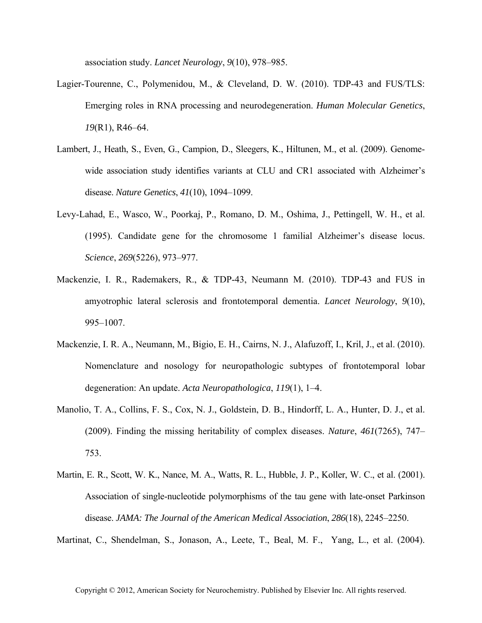association study. *Lancet Neurology*, *9*(10), 978–985.

- Lagier-Tourenne, C., Polymenidou, M., & Cleveland, D. W. (2010). TDP-43 and FUS/TLS: Emerging roles in RNA processing and neurodegeneration. *Human Molecular Genetics*, *19*(R1), R46–64.
- Lambert, J., Heath, S., Even, G., Campion, D., Sleegers, K., Hiltunen, M., et al. (2009). Genomewide association study identifies variants at CLU and CR1 associated with Alzheimer's disease. *Nature Genetics*, *41*(10), 1094–1099.
- Levy-Lahad, E., Wasco, W., Poorkaj, P., Romano, D. M., Oshima, J., Pettingell, W. H., et al. (1995). Candidate gene for the chromosome 1 familial Alzheimer's disease locus. *Science*, *269*(5226), 973–977.
- Mackenzie, I. R., Rademakers, R., & TDP-43, Neumann M. (2010). TDP-43 and FUS in amyotrophic lateral sclerosis and frontotemporal dementia. *Lancet Neurology*, *9*(10), 995–1007.
- Mackenzie, I. R. A., Neumann, M., Bigio, E. H., Cairns, N. J., Alafuzoff, I., Kril, J., et al. (2010). Nomenclature and nosology for neuropathologic subtypes of frontotemporal lobar degeneration: An update. *Acta Neuropathologica*, *119*(1), 1–4.
- Manolio, T. A., Collins, F. S., Cox, N. J., Goldstein, D. B., Hindorff, L. A., Hunter, D. J., et al. (2009). Finding the missing heritability of complex diseases. *Nature*, *461*(7265), 747– 753.
- Martin, E. R., Scott, W. K., Nance, M. A., Watts, R. L., Hubble, J. P., Koller, W. C., et al. (2001). Association of single-nucleotide polymorphisms of the tau gene with late-onset Parkinson disease. *JAMA: The Journal of the American Medical Association*, *286*(18), 2245–2250.

Martinat, C., Shendelman, S., Jonason, A., Leete, T., Beal, M. F., Yang, L., et al. (2004).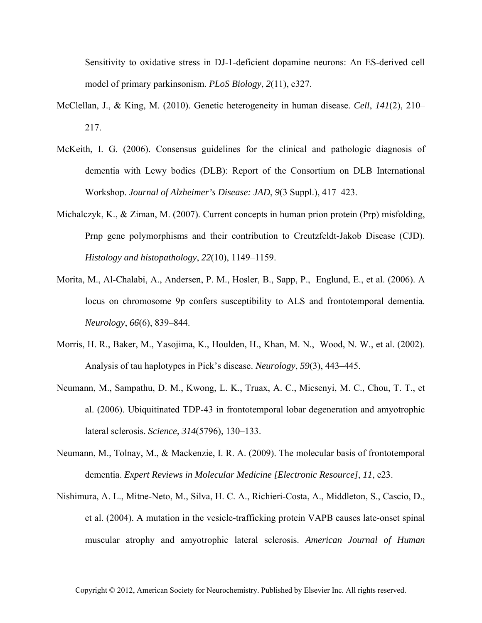Sensitivity to oxidative stress in DJ-1-deficient dopamine neurons: An ES-derived cell model of primary parkinsonism. *PLoS Biology*, *2*(11), e327.

- McClellan, J., & King, M. (2010). Genetic heterogeneity in human disease. *Cell*, *141*(2), 210– 217.
- McKeith, I. G. (2006). Consensus guidelines for the clinical and pathologic diagnosis of dementia with Lewy bodies (DLB): Report of the Consortium on DLB International Workshop. *Journal of Alzheimer's Disease: JAD*, *9*(3 Suppl.), 417–423.
- Michalczyk, K., & Ziman, M. (2007). Current concepts in human prion protein (Prp) misfolding, Prnp gene polymorphisms and their contribution to Creutzfeldt-Jakob Disease (CJD). *Histology and histopathology*, *22*(10), 1149–1159.
- Morita, M., Al-Chalabi, A., Andersen, P. M., Hosler, B., Sapp, P., Englund, E., et al. (2006). A locus on chromosome 9p confers susceptibility to ALS and frontotemporal dementia. *Neurology*, *66*(6), 839–844.
- Morris, H. R., Baker, M., Yasojima, K., Houlden, H., Khan, M. N., Wood, N. W., et al. (2002). Analysis of tau haplotypes in Pick's disease. *Neurology*, *59*(3), 443–445.
- Neumann, M., Sampathu, D. M., Kwong, L. K., Truax, A. C., Micsenyi, M. C., Chou, T. T., et al. (2006). Ubiquitinated TDP-43 in frontotemporal lobar degeneration and amyotrophic lateral sclerosis. *Science*, *314*(5796), 130–133.
- Neumann, M., Tolnay, M., & Mackenzie, I. R. A. (2009). The molecular basis of frontotemporal dementia. *Expert Reviews in Molecular Medicine [Electronic Resource]*, *11*, e23.
- Nishimura, A. L., Mitne-Neto, M., Silva, H. C. A., Richieri-Costa, A., Middleton, S., Cascio, D., et al. (2004). A mutation in the vesicle-trafficking protein VAPB causes late-onset spinal muscular atrophy and amyotrophic lateral sclerosis. *American Journal of Human*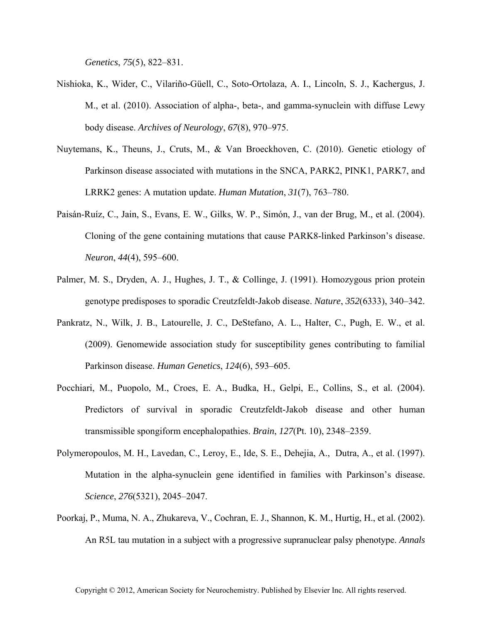*Genetics*, *75*(5), 822–831.

- Nishioka, K., Wider, C., Vilariño-Güell, C., Soto-Ortolaza, A. I., Lincoln, S. J., Kachergus, J. M., et al. (2010). Association of alpha-, beta-, and gamma-synuclein with diffuse Lewy body disease. *Archives of Neurology*, *67*(8), 970–975.
- Nuytemans, K., Theuns, J., Cruts, M., & Van Broeckhoven, C. (2010). Genetic etiology of Parkinson disease associated with mutations in the SNCA, PARK2, PINK1, PARK7, and LRRK2 genes: A mutation update. *Human Mutation*, *31*(7), 763–780.
- Paisán-Ruíz, C., Jain, S., Evans, E. W., Gilks, W. P., Simón, J., van der Brug, M., et al. (2004). Cloning of the gene containing mutations that cause PARK8-linked Parkinson's disease. *Neuron*, *44*(4), 595–600.
- Palmer, M. S., Dryden, A. J., Hughes, J. T., & Collinge, J. (1991). Homozygous prion protein genotype predisposes to sporadic Creutzfeldt-Jakob disease. *Nature*, *352*(6333), 340–342.
- Pankratz, N., Wilk, J. B., Latourelle, J. C., DeStefano, A. L., Halter, C., Pugh, E. W., et al. (2009). Genomewide association study for susceptibility genes contributing to familial Parkinson disease. *Human Genetics*, *124*(6), 593–605.
- Pocchiari, M., Puopolo, M., Croes, E. A., Budka, H., Gelpi, E., Collins, S., et al. (2004). Predictors of survival in sporadic Creutzfeldt-Jakob disease and other human transmissible spongiform encephalopathies. *Brain*, *127*(Pt. 10), 2348–2359.
- Polymeropoulos, M. H., Lavedan, C., Leroy, E., Ide, S. E., Dehejia, A., Dutra, A., et al. (1997). Mutation in the alpha-synuclein gene identified in families with Parkinson's disease. *Science*, *276*(5321), 2045–2047.
- Poorkaj, P., Muma, N. A., Zhukareva, V., Cochran, E. J., Shannon, K. M., Hurtig, H., et al. (2002). An R5L tau mutation in a subject with a progressive supranuclear palsy phenotype. *Annals*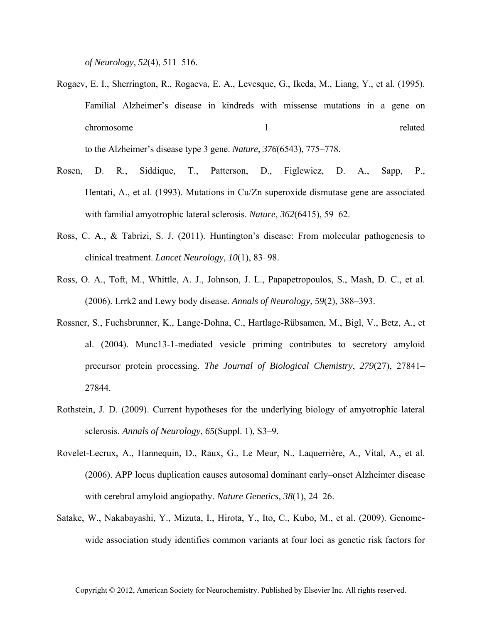*of Neurology*, *52*(4), 511–516.

Rogaev, E. I., Sherrington, R., Rogaeva, E. A., Levesque, G., Ikeda, M., Liang, Y., et al. (1995). Familial Alzheimer's disease in kindreds with missense mutations in a gene on chromosome and the set of the set of the set of the set of the set of the set of the set of the set of the set of the set of the set of the set of the set of the set of the set of the set of the set of the set of the set o

to the Alzheimer's disease type 3 gene. *Nature*, *376*(6543), 775–778.

- Rosen, D. R., Siddique, T., Patterson, D., Figlewicz, D. A., Sapp, P., Hentati, A., et al. (1993). Mutations in Cu/Zn superoxide dismutase gene are associated with familial amyotrophic lateral sclerosis. *Nature*, *362*(6415), 59–62.
- Ross, C. A., & Tabrizi, S. J. (2011). Huntington's disease: From molecular pathogenesis to clinical treatment. *Lancet Neurology*, *10*(1), 83–98.
- Ross, O. A., Toft, M., Whittle, A. J., Johnson, J. L., Papapetropoulos, S., Mash, D. C., et al. (2006). Lrrk2 and Lewy body disease. *Annals of Neurology*, *59*(2), 388–393.
- Rossner, S., Fuchsbrunner, K., Lange-Dohna, C., Hartlage-Rübsamen, M., Bigl, V., Betz, A., et al. (2004). Munc13-1-mediated vesicle priming contributes to secretory amyloid precursor protein processing. *The Journal of Biological Chemistry*, *279*(27), 27841– 27844.
- Rothstein, J. D. (2009). Current hypotheses for the underlying biology of amyotrophic lateral sclerosis. *Annals of Neurology*, *65*(Suppl. 1), S3–9.
- Rovelet-Lecrux, A., Hannequin, D., Raux, G., Le Meur, N., Laquerrière, A., Vital, A., et al. (2006). APP locus duplication causes autosomal dominant early–onset Alzheimer disease with cerebral amyloid angiopathy. *Nature Genetics*, *38*(1), 24–26.
- Satake, W., Nakabayashi, Y., Mizuta, I., Hirota, Y., Ito, C., Kubo, M., et al. (2009). Genomewide association study identifies common variants at four loci as genetic risk factors for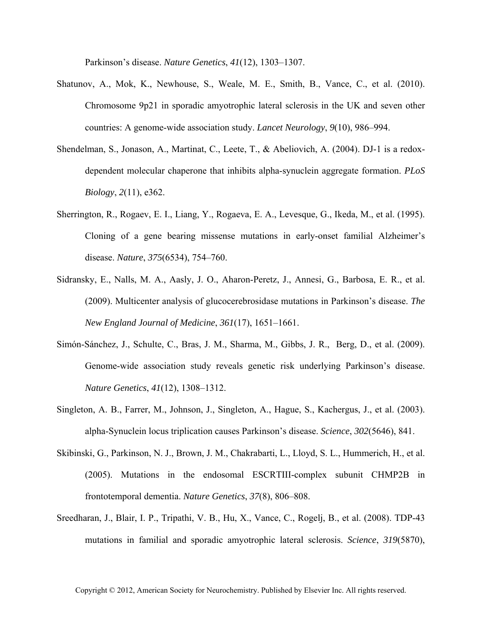Parkinson's disease. *Nature Genetics*, *41*(12), 1303–1307.

- Shatunov, A., Mok, K., Newhouse, S., Weale, M. E., Smith, B., Vance, C., et al. (2010). Chromosome 9p21 in sporadic amyotrophic lateral sclerosis in the UK and seven other countries: A genome-wide association study. *Lancet Neurology*, *9*(10), 986–994.
- Shendelman, S., Jonason, A., Martinat, C., Leete, T., & Abeliovich, A. (2004). DJ-1 is a redoxdependent molecular chaperone that inhibits alpha-synuclein aggregate formation. *PLoS Biology*, *2*(11), e362.
- Sherrington, R., Rogaev, E. I., Liang, Y., Rogaeva, E. A., Levesque, G., Ikeda, M., et al. (1995). Cloning of a gene bearing missense mutations in early-onset familial Alzheimer's disease. *Nature*, *375*(6534), 754–760.
- Sidransky, E., Nalls, M. A., Aasly, J. O., Aharon-Peretz, J., Annesi, G., Barbosa, E. R., et al. (2009). Multicenter analysis of glucocerebrosidase mutations in Parkinson's disease. *The New England Journal of Medicine*, *361*(17), 1651–1661.
- Simón-Sánchez, J., Schulte, C., Bras, J. M., Sharma, M., Gibbs, J. R., Berg, D., et al. (2009). Genome-wide association study reveals genetic risk underlying Parkinson's disease. *Nature Genetics*, *41*(12), 1308–1312.
- Singleton, A. B., Farrer, M., Johnson, J., Singleton, A., Hague, S., Kachergus, J., et al. (2003). alpha-Synuclein locus triplication causes Parkinson's disease. *Science*, *302*(5646), 841.
- Skibinski, G., Parkinson, N. J., Brown, J. M., Chakrabarti, L., Lloyd, S. L., Hummerich, H., et al. (2005). Mutations in the endosomal ESCRTIII-complex subunit CHMP2B in frontotemporal dementia. *Nature Genetics*, *37*(8), 806–808.
- Sreedharan, J., Blair, I. P., Tripathi, V. B., Hu, X., Vance, C., Rogelj, B., et al. (2008). TDP-43 mutations in familial and sporadic amyotrophic lateral sclerosis. *Science*, *319*(5870),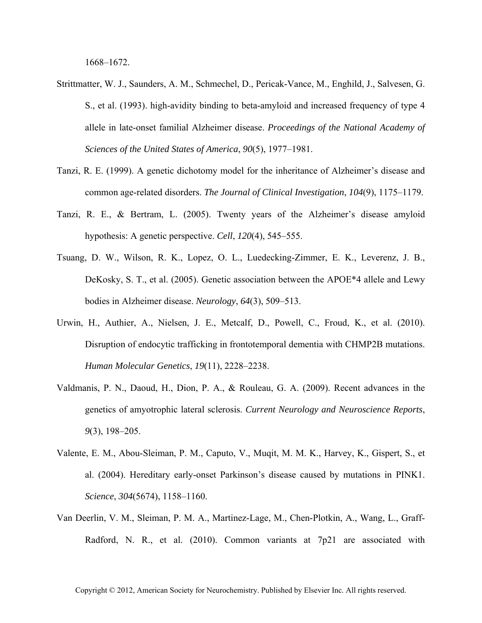- Strittmatter, W. J., Saunders, A. M., Schmechel, D., Pericak-Vance, M., Enghild, J., Salvesen, G. S., et al. (1993). high-avidity binding to beta-amyloid and increased frequency of type 4 allele in late-onset familial Alzheimer disease. *Proceedings of the National Academy of Sciences of the United States of America*, *90*(5), 1977–1981.
- Tanzi, R. E. (1999). A genetic dichotomy model for the inheritance of Alzheimer's disease and common age-related disorders. *The Journal of Clinical Investigation*, *104*(9), 1175–1179.
- Tanzi, R. E., & Bertram, L. (2005). Twenty years of the Alzheimer's disease amyloid hypothesis: A genetic perspective. *Cell*, *120*(4), 545–555.
- Tsuang, D. W., Wilson, R. K., Lopez, O. L., Luedecking-Zimmer, E. K., Leverenz, J. B., DeKosky, S. T., et al. (2005). Genetic association between the APOE\*4 allele and Lewy bodies in Alzheimer disease. *Neurology*, *64*(3), 509–513.
- Urwin, H., Authier, A., Nielsen, J. E., Metcalf, D., Powell, C., Froud, K., et al. (2010). Disruption of endocytic trafficking in frontotemporal dementia with CHMP2B mutations. *Human Molecular Genetics*, *19*(11), 2228–2238.
- Valdmanis, P. N., Daoud, H., Dion, P. A., & Rouleau, G. A. (2009). Recent advances in the genetics of amyotrophic lateral sclerosis. *Current Neurology and Neuroscience Reports*, *9*(3), 198–205.
- Valente, E. M., Abou-Sleiman, P. M., Caputo, V., Muqit, M. M. K., Harvey, K., Gispert, S., et al. (2004). Hereditary early-onset Parkinson's disease caused by mutations in PINK1. *Science*, *304*(5674), 1158–1160.
- Van Deerlin, V. M., Sleiman, P. M. A., Martinez-Lage, M., Chen-Plotkin, A., Wang, L., Graff-Radford, N. R., et al. (2010). Common variants at 7p21 are associated with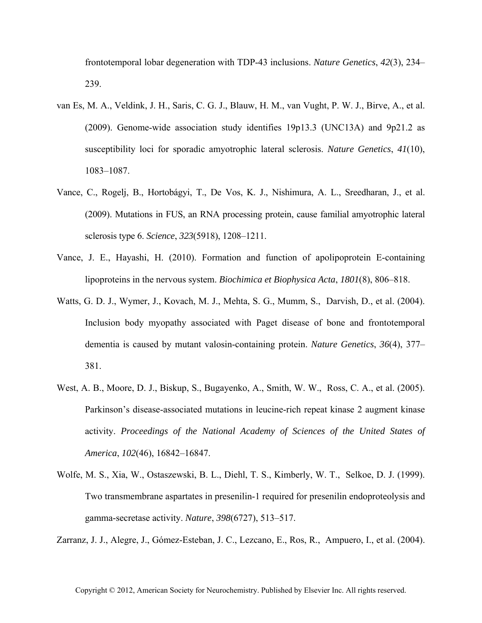frontotemporal lobar degeneration with TDP-43 inclusions. *Nature Genetics*, *42*(3), 234– 239.

- van Es, M. A., Veldink, J. H., Saris, C. G. J., Blauw, H. M., van Vught, P. W. J., Birve, A., et al. (2009). Genome-wide association study identifies 19p13.3 (UNC13A) and 9p21.2 as susceptibility loci for sporadic amyotrophic lateral sclerosis. *Nature Genetics*, *41*(10), 1083–1087.
- Vance, C., Rogelj, B., Hortobágyi, T., De Vos, K. J., Nishimura, A. L., Sreedharan, J., et al. (2009). Mutations in FUS, an RNA processing protein, cause familial amyotrophic lateral sclerosis type 6. *Science*, *323*(5918), 1208–1211.
- Vance, J. E., Hayashi, H. (2010). Formation and function of apolipoprotein E-containing lipoproteins in the nervous system. *Biochimica et Biophysica Acta*, *1801*(8), 806–818.
- Watts, G. D. J., Wymer, J., Kovach, M. J., Mehta, S. G., Mumm, S., Darvish, D., et al. (2004). Inclusion body myopathy associated with Paget disease of bone and frontotemporal dementia is caused by mutant valosin-containing protein. *Nature Genetics*, *36*(4), 377– 381.
- West, A. B., Moore, D. J., Biskup, S., Bugayenko, A., Smith, W. W., Ross, C. A., et al. (2005). Parkinson's disease-associated mutations in leucine-rich repeat kinase 2 augment kinase activity. *Proceedings of the National Academy of Sciences of the United States of America*, *102*(46), 16842–16847.
- Wolfe, M. S., Xia, W., Ostaszewski, B. L., Diehl, T. S., Kimberly, W. T., Selkoe, D. J. (1999). Two transmembrane aspartates in presenilin-1 required for presenilin endoproteolysis and gamma-secretase activity. *Nature*, *398*(6727), 513–517.

Zarranz, J. J., Alegre, J., Gómez-Esteban, J. C., Lezcano, E., Ros, R., Ampuero, I., et al. (2004).